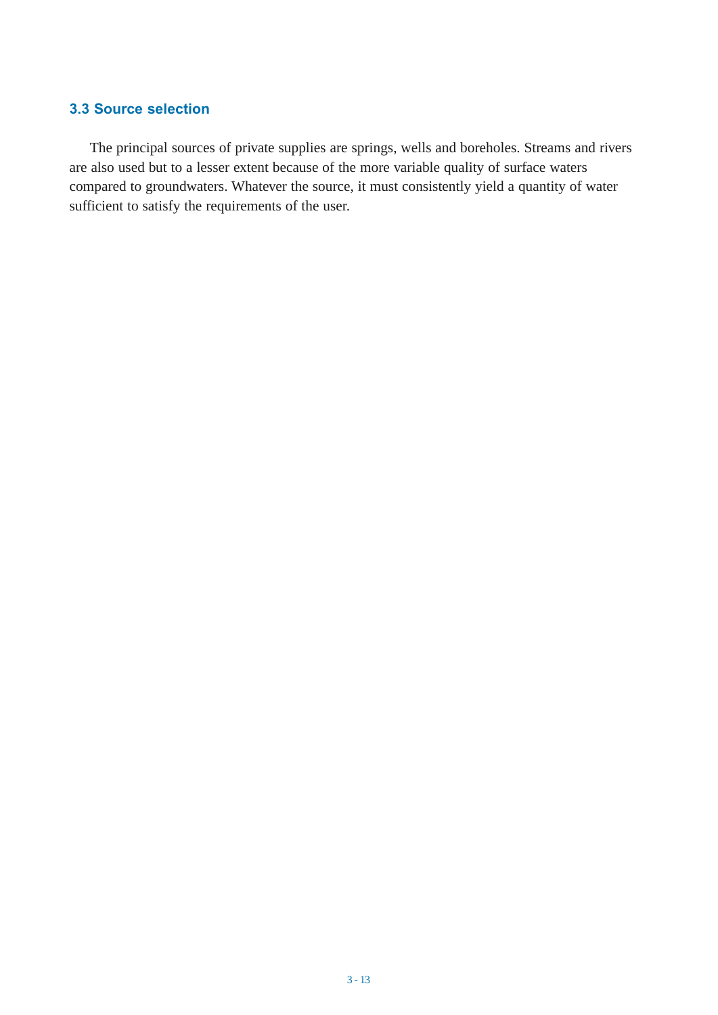### **3.3 Source selection**

The principal sources of private supplies are springs, wells and boreholes. Streams and rivers are also used but to a lesser extent because of the more variable quality of surface waters compared to groundwaters. Whatever the source, it must consistently yield a quantity of water sufficient to satisfy the requirements of the user.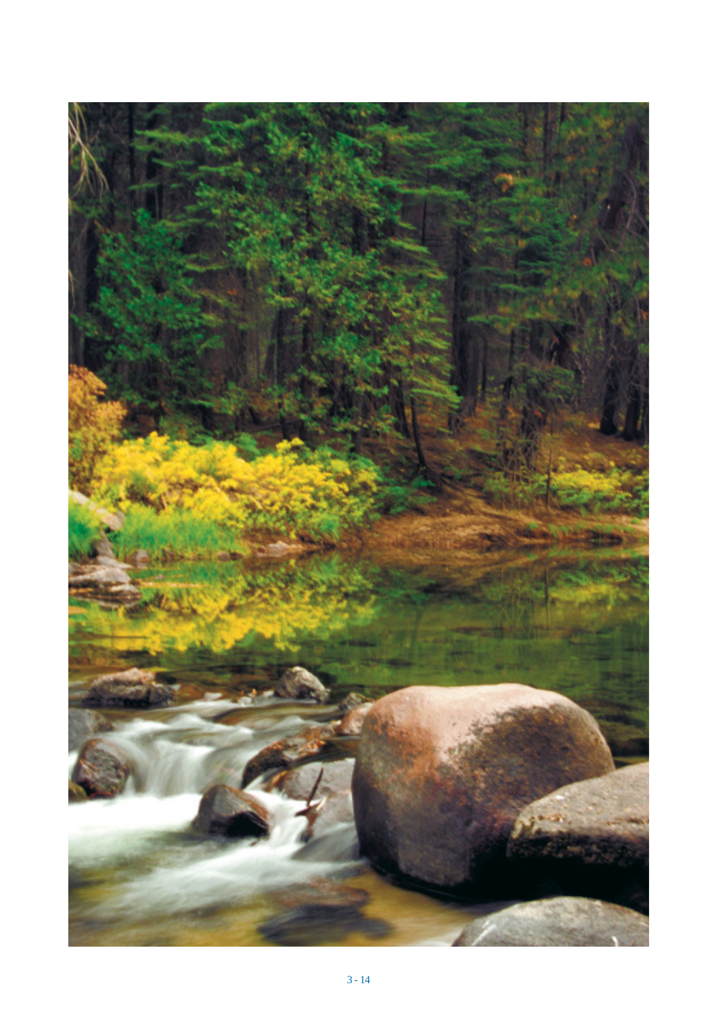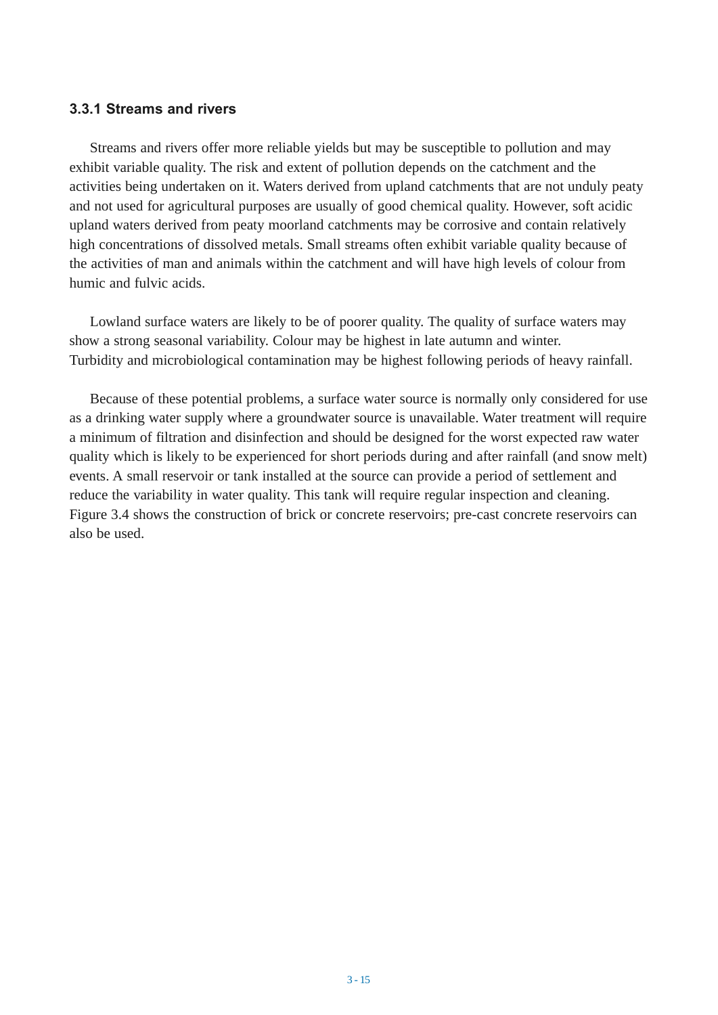#### **3.3.1 Streams and rivers**

Streams and rivers offer more reliable yields but may be susceptible to pollution and may exhibit variable quality. The risk and extent of pollution depends on the catchment and the activities being undertaken on it. Waters derived from upland catchments that are not unduly peaty and not used for agricultural purposes are usually of good chemical quality. However, soft acidic upland waters derived from peaty moorland catchments may be corrosive and contain relatively high concentrations of dissolved metals. Small streams often exhibit variable quality because of the activities of man and animals within the catchment and will have high levels of colour from humic and fulvic acids.

Lowland surface waters are likely to be of poorer quality. The quality of surface waters may show a strong seasonal variability. Colour may be highest in late autumn and winter. Turbidity and microbiological contamination may be highest following periods of heavy rainfall.

Because of these potential problems, a surface water source is normally only considered for use as a drinking water supply where a groundwater source is unavailable. Water treatment will require a minimum of filtration and disinfection and should be designed for the worst expected raw water quality which is likely to be experienced for short periods during and after rainfall (and snow melt) events. A small reservoir or tank installed at the source can provide a period of settlement and reduce the variability in water quality. This tank will require regular inspection and cleaning. Figure 3.4 shows the construction of brick or concrete reservoirs; pre-cast concrete reservoirs can also be used.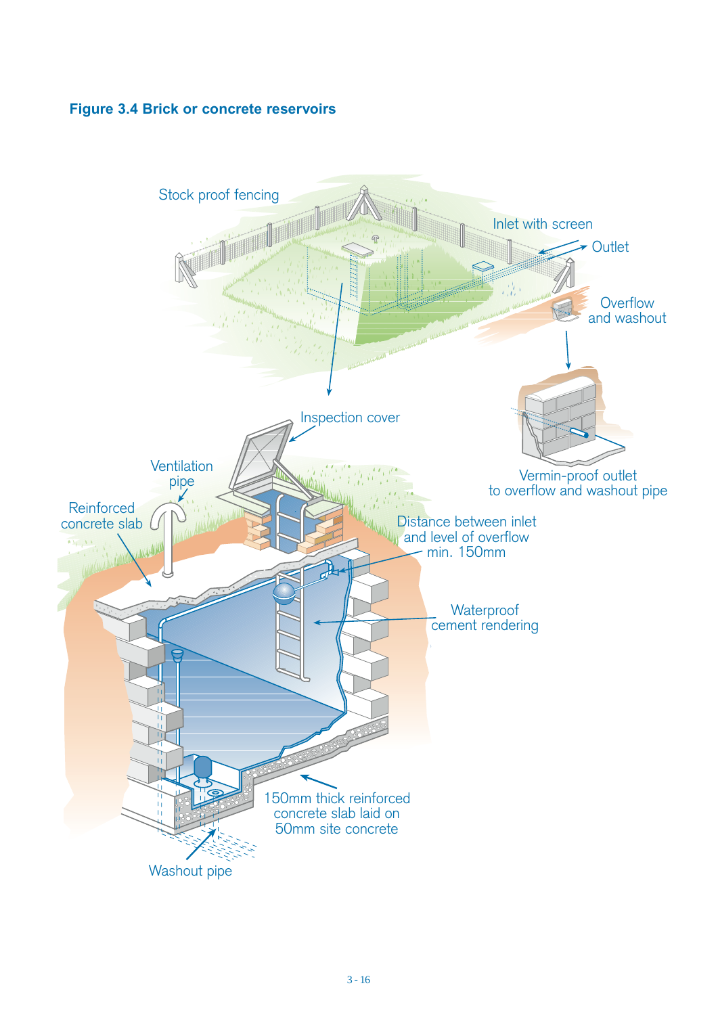## **Figure 3.4 Brick or concrete reservoirs**

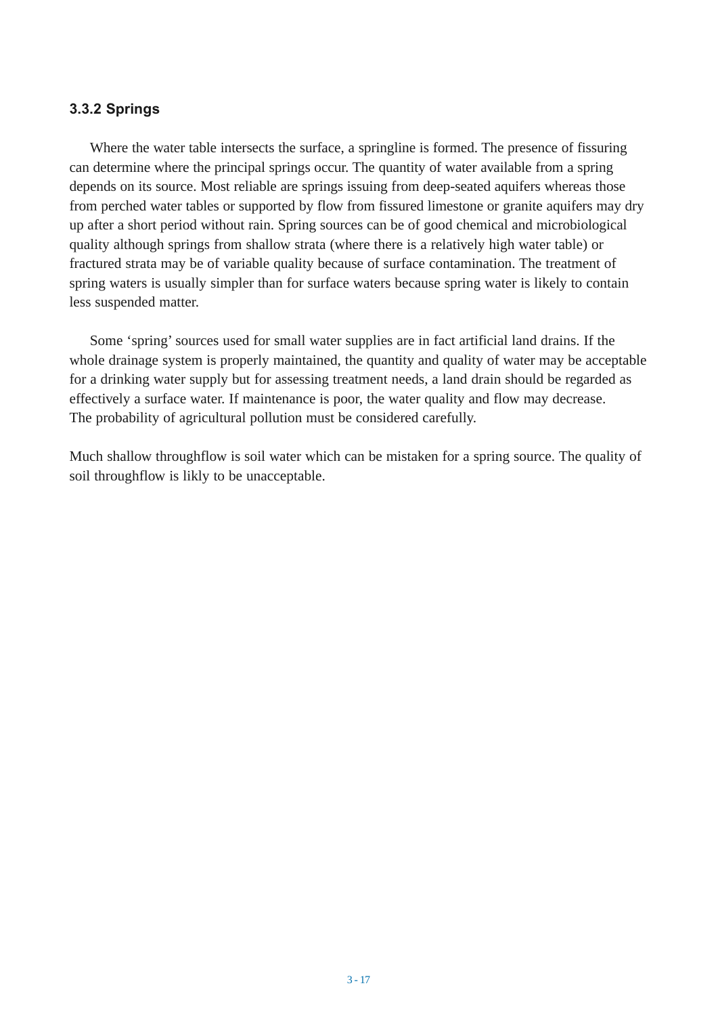### **3.3.2 Springs**

Where the water table intersects the surface, a springline is formed. The presence of fissuring can determine where the principal springs occur. The quantity of water available from a spring depends on its source. Most reliable are springs issuing from deep-seated aquifers whereas those from perched water tables or supported by flow from fissured limestone or granite aquifers may dry up after a short period without rain. Spring sources can be of good chemical and microbiological quality although springs from shallow strata (where there is a relatively high water table) or fractured strata may be of variable quality because of surface contamination. The treatment of spring waters is usually simpler than for surface waters because spring water is likely to contain less suspended matter.

Some 'spring' sources used for small water supplies are in fact artificial land drains. If the whole drainage system is properly maintained, the quantity and quality of water may be acceptable for a drinking water supply but for assessing treatment needs, a land drain should be regarded as effectively a surface water. If maintenance is poor, the water quality and flow may decrease. The probability of agricultural pollution must be considered carefully.

Much shallow throughflow is soil water which can be mistaken for a spring source. The quality of soil throughflow is likly to be unacceptable.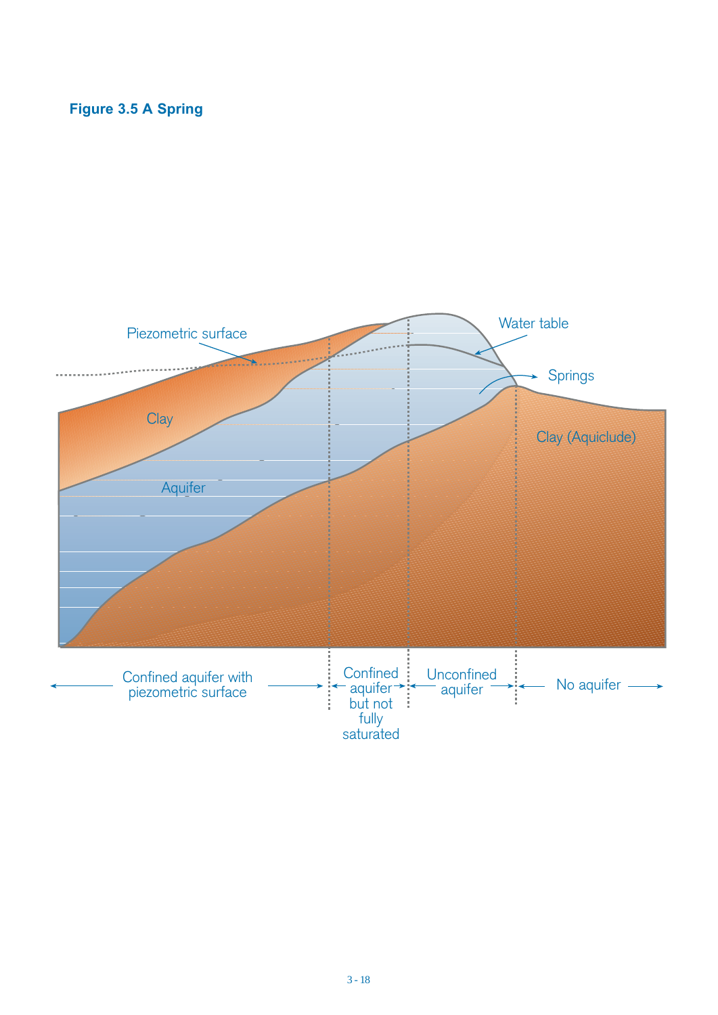# **Figure 3.5 A Spring**

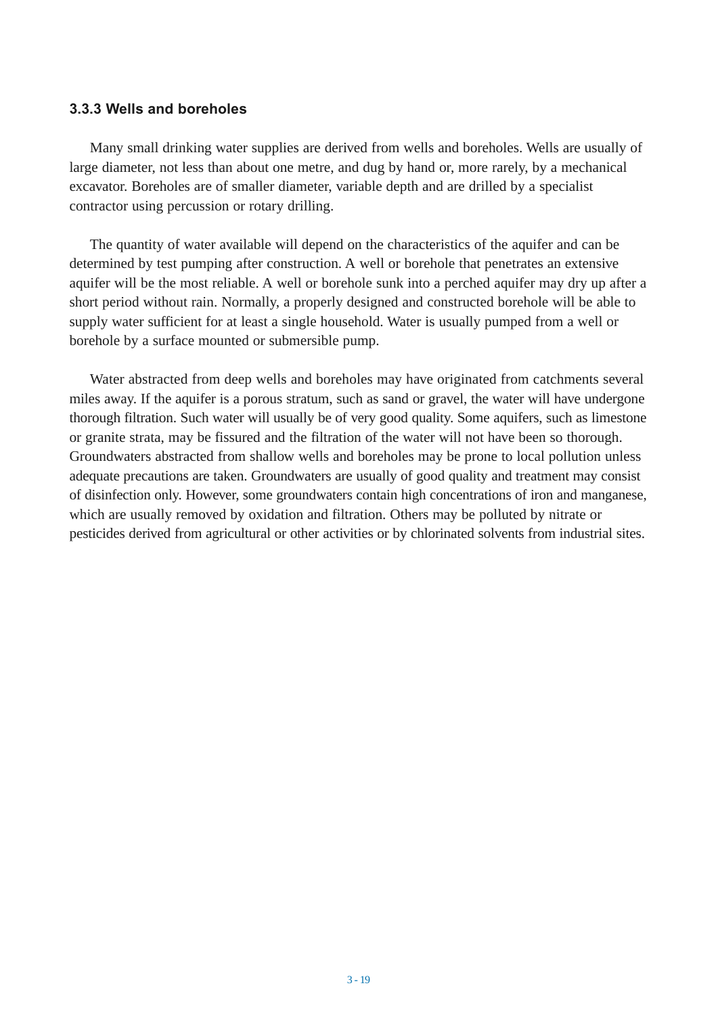#### **3.3.3 Wells and boreholes**

Many small drinking water supplies are derived from wells and boreholes. Wells are usually of large diameter, not less than about one metre, and dug by hand or, more rarely, by a mechanical excavator. Boreholes are of smaller diameter, variable depth and are drilled by a specialist contractor using percussion or rotary drilling.

The quantity of water available will depend on the characteristics of the aquifer and can be determined by test pumping after construction. A well or borehole that penetrates an extensive aquifer will be the most reliable. A well or borehole sunk into a perched aquifer may dry up after a short period without rain. Normally, a properly designed and constructed borehole will be able to supply water sufficient for at least a single household. Water is usually pumped from a well or borehole by a surface mounted or submersible pump.

Water abstracted from deep wells and boreholes may have originated from catchments several miles away. If the aquifer is a porous stratum, such as sand or gravel, the water will have undergone thorough filtration. Such water will usually be of very good quality. Some aquifers, such as limestone or granite strata, may be fissured and the filtration of the water will not have been so thorough. Groundwaters abstracted from shallow wells and boreholes may be prone to local pollution unless adequate precautions are taken. Groundwaters are usually of good quality and treatment may consist of disinfection only. However, some groundwaters contain high concentrations of iron and manganese, which are usually removed by oxidation and filtration. Others may be polluted by nitrate or pesticides derived from agricultural or other activities or by chlorinated solvents from industrial sites.